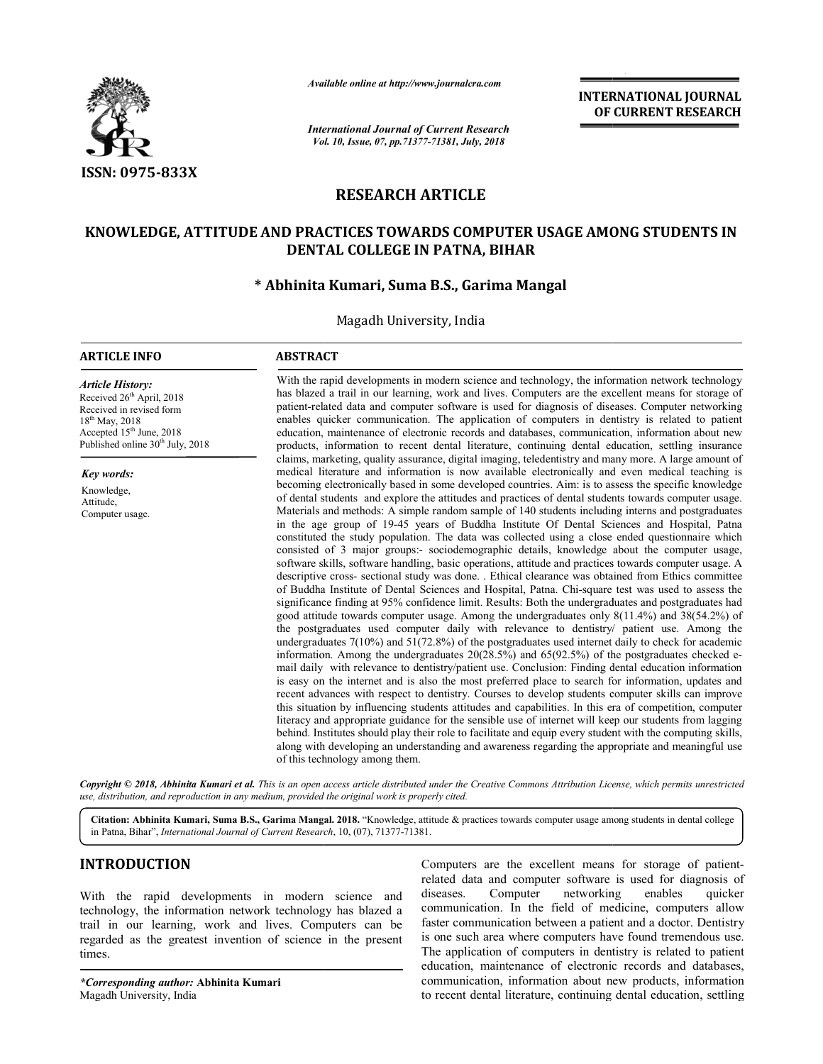

*Available online at http://www.journalcra.com*

*International Journal of Current Research Vol. 10, Issue, 07, Vol. pp.71377-71381, July, 2018*

**INTERNATIONAL JOURNAL OF CURRENT RESEARCH**

# **RESEARCH ARTICLE**

# **KNOWLEDGE, ATTITUDE AND PRACTICES TOWARDS COMPUTER USAGE AMONG STUDENTS IN PRACTICES AMONG DENTAL COLLEGE IN PATNA, BIHAR**

# **\* Abhinita Kumari, Suma B.S., Garima Mangal**

Magadh University, India

## **ARTICLE INFO ABSTRACT**

#### *Article History:* Received 26<sup>th</sup> April, 2018 Received in revised form 18th May, 2018 Accepted  $15<sup>th</sup>$  June, 2018 Published online 30<sup>th</sup> July, 2018

*Key words:*

Knowledge, Attitude, Computer usage.

With the rapid developments in modern science and technology, the information network technology With the rapid developments in modern science and technology, the information network technology has blazed a trail in our learning, work and lives. Computers are the excellent means for storage of has blazed a trail in our learning, work and lives. Computers are the excellent means for storage of patient-related data and computer software is used for diagnosis of diseases. Computer networking enables quicker communication. The application of computers in dentistry is related to patient enables quicker communication. The application of computers in dentistry is related to patient education, maintenance of electronic records and databases, communication, information about new products, information to recent dental literature, continuing dental education, settling insurance claims, marketing, quality assurance, digital imaging, teledentistry and many more. A large amount of medical literature and information is now available electronically and even medical teaching is becoming electronically based in some developed countries. Aim: is to assess the specific knowledge of dental students and explore the attitudes and practices of dental students towards computer usage. Materials and methods: A simple random sample of 140 students including interns and postgraduates s in the age group of 19 19-45 years of Buddha Institute Of Dental Sciences and Hospital, Patna constituted the study population. The data was collected using a close ended questionnaire which consisted of 3 major groups:- sociodemographic details, knowledge about the computer usage, software skills, software handling, basic operations, attitude and practices towards computer usage. A descriptive cross- sectional study was done. . Ethical clearance was obtained from Ethics committee of Buddha Institute of Dental Sciences and Hospital, Patna. Chi-square test was used to assess the significance finding at 95% confidence limit. Results: Both the undergraduates and postgraduates had good attitude towards computer usage. Among the undergraduates only 8(11.4%) and 38(54.2%) of the postgraduates used computer daily with relevance to dentistry/ patient use. Among the the postgraduates used computer daily with relevance to dentistry/ patient use. Among the undergraduates 7(10%) and 51(72.8%) of the postgraduates used internet daily to check for academic information. Among the undergraduates  $20(28.5%)$  and  $65(92.5%)$  of the postgraduates checked einformation. Among the undergraduates 20(28.5%) and 65(92.5%) of the postgraduates checked e-<br>mail daily with relevance to dentistry/patient use. Conclusion: Finding dental education information is easy on the internet and is also the most preferred place to search for information, updates and recent advances with respect to dentistry. Courses to develop students computer skills can improve this situation by influencing students attitudes and capabilities. In this era of comp literacy and appropriate guidance for the sensible use of internet will keep our students from lagging literacy and appropriate guidance for the sensible use of internet will keep our students from lagging<br>behind. Institutes should play their role to facilitate and equip every student with the computing skills, literacy and appropriate guidance for the sensible use of internet will keep our students from lagging<br>behind. Institutes should play their role to facilitate and equip every student with the computing skills,<br>along with d of this technology among them. dental literature, continuing dental education, settling insurance<br>ce, digital imaging, teledentistry and many more. A large amount of<br>on is now available electronically and even medical teaching is electronically based in some developed countries. Aim: is to assess the specific knowledge students and explore the attitudes and practices of dental students towards computer usage. and methods: A simple random sample of ily with relevance to dentistry/patient use. Conclusion: Finding dental education information<br>on the internet and is also the most preferred place to search for information, updates and<br>advances with respect to dentistry. INTERNATIONAL JOURNAL<br>
OF CURRENT RESEARCH<br>
OF CURRENT RESEARCH<br>
OF CURRENT RESEARCH<br>
AGE AMONG STUDENTS IN<br>
all<br>
all<br>
all<br>
all<br>
all<br>
all<br>
all<br>
consis of diseases. Computer networking<br>
communication, acting insurance<br>
comm

Copyright © 2018, Abhinita Kumari et al. This is an open access article distributed under the Creative Commons Attribution License, which permits unrestricted *use, distribution, and reproduction in any medium, provided the original work is properly cited.*

Citation: Abhinita Kumari, Suma B.S., Garima Mangal. 2018. "Knowledge, attitude & practices towards computer usage among students in dental college in Patna, Bihar", *International Journal of Current Research* , 10, (07), 71377-71381.

# **INTRODUCTION**

With the rapid developments in modern science and technology, the information network technology has blazed a trail in our learning, work and lives. Computers can be regarded as the greatest invention of science in the present times.

*\*Corresponding author:* **Abhinita Kumari** Magadh University, India

Computers are the excellent means for storage of patientrelated data and computer software is used for diagnosis of diseases. Computer networking enables quicker communication. In the field of medicine, computers allow faster communication between a patient and a doctor. Dentistry is one such area where computers have found tremendous use. The application of computers in dentistry is related to patient education, maintenance of electronic records and databases, communication, information about new products, information to recent dental literature, continuing dental education, settling related data and computer software is used for diagnosis of diseases. Computer networking enables quicker communication. In the field of medicine, computers allow faster communication between a patient and a doctor. Dentis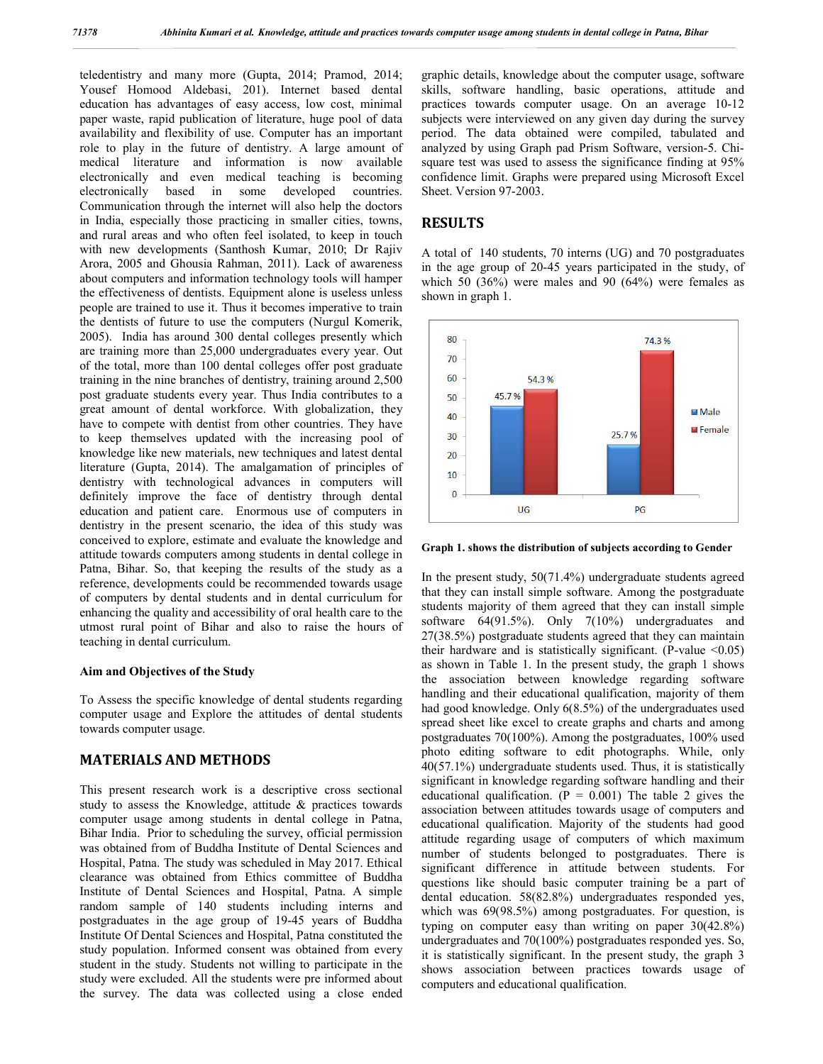teledentistry and many more (Gupta, 2014; Pramod, 2014; Yousef Homood Aldebasi, 201). Internet based dental education has advantages of easy access, low cost, minimal paper waste, rapid publication of literature, huge pool of data availability and flexibility of use. Computer has an important role to play in the future of dentistry. A large amount of medical literature and information is now available electronically and even medical teaching is becoming electronically based in some developed countries. Communication through the internet will also help the doctors in India, especially those practicing in smaller cities, towns, and rural areas and who often feel isolated, to keep in touch with new developments (Santhosh Kumar, 2010; Dr Rajiv Arora, 2005 and Ghousia Rahman, 2011). Lack of awareness about computers and information technology tools will hamper the effectiveness of dentists. Equipment alone is useless unless people are trained to use it. Thus it becomes imperative to train the dentists of future to use the computers (Nurgul Komerik, 2005). India has around 300 dental colleges presently which are training more than 25,000 undergraduates every year. Out of the total, more than 100 dental colleges offer post graduate training in the nine branches of dentistry, training around 2,500 post graduate students every year. Thus India contributes to a great amount of dental workforce. With globalization, they have to compete with dentist from other countries. They have to keep themselves updated with the increasing pool of knowledge like new materials, new techniques and latest dental literature (Gupta, 2014). The amalgamation of principles of dentistry with technological advances in computers will definitely improve the face of dentistry through dental education and patient care. Enormous use of computers in dentistry in the present scenario, the idea of this study was conceived to explore, estimate and evaluate the knowledge and attitude towards computers among students in dental college in Patna, Bihar. So, that keeping the results of the study as a reference, developments could be recommended towards usage of computers by dental students and in dental curriculum for enhancing the quality and accessibility of oral health care to the utmost rural point of Bihar and also to raise the hours of teaching in dental curriculum.

### **Aim and Objectives of the Study**

To Assess the specific knowledge of dental students regarding computer usage and Explore the attitudes of dental students towards computer usage.

# **MATERIALS AND METHODS**

This present research work is a descriptive cross sectional study to assess the Knowledge, attitude & practices towards computer usage among students in dental college in Patna, Bihar India. Prior to scheduling the survey, official permission was obtained from of Buddha Institute of Dental Sciences and Hospital, Patna. The study was scheduled in May 2017. Ethical clearance was obtained from Ethics committee of Buddha Institute of Dental Sciences and Hospital, Patna. A simple random sample of 140 students including interns and postgraduates in the age group of 19-45 years of Buddha Institute Of Dental Sciences and Hospital, Patna constituted the study population. Informed consent was obtained from every student in the study. Students not willing to participate in the study were excluded. All the students were pre informed about the survey. The data was collected using a close ended

graphic details, knowledge about the computer usage, software skills, software handling, basic operations, attitude and practices towards computer usage. On an average 10-12 subjects were interviewed on any given day during the survey period. The data obtained were compiled, tabulated and analyzed by using Graph pad Prism Software, version-5. Chisquare test was used to assess the significance finding at 95% confidence limit. Graphs were prepared using Microsoft Excel Sheet. Version 97-2003.

## **RESULTS**

A total of 140 students, 70 interns (UG) and 70 postgraduates in the age group of 20-45 years participated in the study, of which 50 (36%) were males and 90 (64%) were females as shown in graph 1.



**Graph 1. shows the distribution of subjects according to Gender**

In the present study, 50(71.4%) undergraduate students agreed that they can install simple software. Among the postgraduate students majority of them agreed that they can install simple software 64(91.5%). Only 7(10%) undergraduates and 27(38.5%) postgraduate students agreed that they can maintain their hardware and is statistically significant. (P-value  $\leq 0.05$ ) as shown in Table 1. In the present study, the graph 1 shows the association between knowledge regarding software handling and their educational qualification, majority of them had good knowledge. Only 6(8.5%) of the undergraduates used spread sheet like excel to create graphs and charts and among postgraduates 70(100%). Among the postgraduates, 100% used photo editing software to edit photographs. While, only 40(57.1%) undergraduate students used. Thus, it is statistically significant in knowledge regarding software handling and their educational qualification. ( $P = 0.001$ ) The table 2 gives the association between attitudes towards usage of computers and educational qualification. Majority of the students had good attitude regarding usage of computers of which maximum number of students belonged to postgraduates. There is significant difference in attitude between students. For questions like should basic computer training be a part of dental education. 58(82.8%) undergraduates responded yes, which was  $69(98.5%)$  among postgraduates. For question, is typing on computer easy than writing on paper 30(42.8%) undergraduates and 70(100%) postgraduates responded yes. So, it is statistically significant. In the present study, the graph 3 shows association between practices towards usage of computers and educational qualification.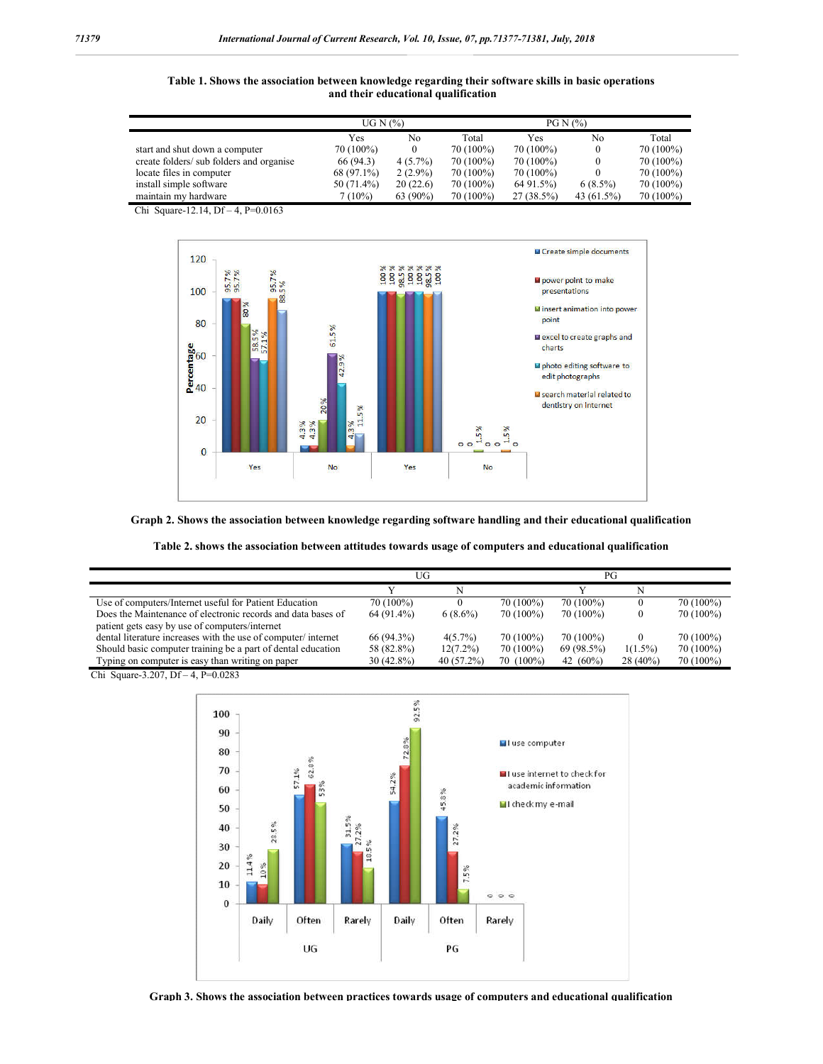**Table 1. Shows the association between knowledge regarding their software skills in basic operations and their educational qualification**

|                                          | UG N $(%)$ |            |           | $PGN(\%)$    |            |           |
|------------------------------------------|------------|------------|-----------|--------------|------------|-----------|
|                                          | Yes        | No         | Total     | Yes          | No         | Total     |
| start and shut down a computer           | 70 (100%)  |            | 70 (100%) | 70 (100%)    | 0          | 70 (100%) |
| create folders/ sub folders and organise | 66 (94.3)  | $4(5.7\%)$ | 70 (100%) | 70 (100%)    | $\theta$   | 70 (100%) |
| locate files in computer                 | 68 (97.1%) | $2(2.9\%)$ | 70 (100%) | 70 (100%)    |            | 70 (100%) |
| install simple software                  | 50 (71.4%) | 20(22.6)   | 70 (100%) | 64 91.5%)    | $6(8.5\%)$ | 70 (100%) |
| maintain my hardware                     | 7 (10%)    | 63 (90%)   | 70 (100%) | $27(38.5\%)$ | 43 (61.5%) | 70 (100%) |

Chi Square-12.14, Df – 4, P=0.0163



**Graph 2. Shows the association between knowledge regarding software handling and their educational qualification**

|                                                               | UG           |              |             | PG          |            |           |
|---------------------------------------------------------------|--------------|--------------|-------------|-------------|------------|-----------|
|                                                               |              |              |             |             |            |           |
| Use of computers/Internet useful for Patient Education        | 70 (100%)    |              | 70 (100%)   | 70 (100%)   | $\theta$   | 70 (100%) |
| Does the Maintenance of electronic records and data bases of  | 64 (91.4%)   | $6(8.6\%)$   | $70(100\%)$ | 70 (100%)   | 0          | 70 (100%) |
| patient gets easy by use of computers/internet                |              |              |             |             |            |           |
| dental literature increases with the use of computer/internet | 66 (94.3%)   | $4(5.7\%)$   | 70 (100%)   | 70 (100%)   | $\theta$   | 70 (100%) |
| Should basic computer training be a part of dental education  | 58 (82.8%)   | $12(7.2\%)$  | 70 (100%)   | 69 (98.5%)  | $1(1.5\%)$ | 70 (100%) |
| Typing on computer is easy than writing on paper              | $30(42.8\%)$ | $40(57.2\%)$ | $70(100\%)$ | 42 $(60\%)$ | $28(40\%)$ | 70 (100%) |

Chi Square-3.207, Df – 4, P=0.0283



**Graph 3. Shows the association between practices towards usage of computers and educational qualification**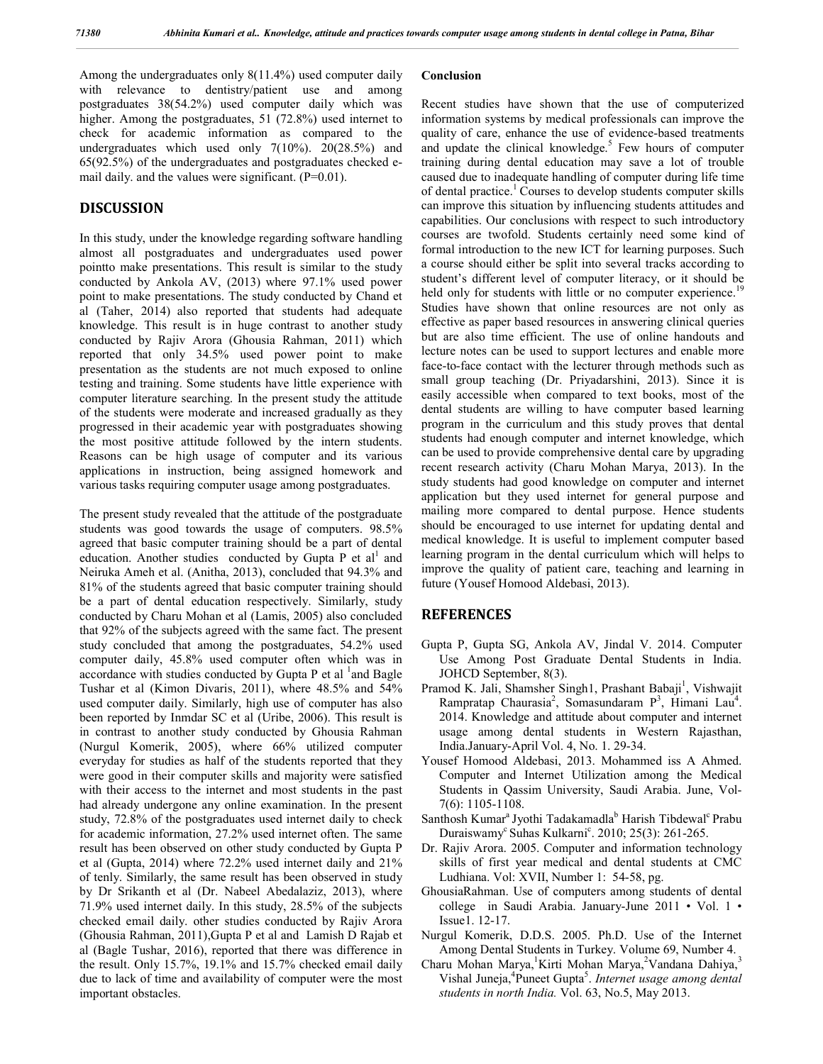Among the undergraduates only 8(11.4%) used computer daily with relevance to dentistry/patient use and among postgraduates 38(54.2%) used computer daily which was higher. Among the postgraduates, 51 (72.8%) used internet to check for academic information as compared to the undergraduates which used only  $7(10\%)$ .  $20(28.5\%)$  and 65(92.5%) of the undergraduates and postgraduates checked email daily. and the values were significant. (P=0.01).

## **DISCUSSION**

In this study, under the knowledge regarding software handling almost all postgraduates and undergraduates used power pointto make presentations. This result is similar to the study conducted by Ankola AV, (2013) where 97.1% used power point to make presentations. The study conducted by Chand et al (Taher, 2014) also reported that students had adequate knowledge. This result is in huge contrast to another study conducted by Rajiv Arora (Ghousia Rahman, 2011) which reported that only 34.5% used power point to make presentation as the students are not much exposed to online testing and training. Some students have little experience with computer literature searching. In the present study the attitude of the students were moderate and increased gradually as they progressed in their academic year with postgraduates showing the most positive attitude followed by the intern students. Reasons can be high usage of computer and its various applications in instruction, being assigned homework and various tasks requiring computer usage among postgraduates.

The present study revealed that the attitude of the postgraduate students was good towards the usage of computers. 98.5% agreed that basic computer training should be a part of dental education. Another studies conducted by Gupta P et  $al<sup>1</sup>$  and Neiruka Ameh et al. (Anitha, 2013), concluded that 94.3% and 81% of the students agreed that basic computer training should be a part of dental education respectively. Similarly, study conducted by Charu Mohan et al (Lamis, 2005) also concluded that 92% of the subjects agreed with the same fact. The present study concluded that among the postgraduates, 54.2% used computer daily, 45.8% used computer often which was in accordance with studies conducted by Gupta P et al <sup>1</sup> and Bagle Tushar et al (Kimon Divaris, 2011), where 48.5% and 54% used computer daily. Similarly, high use of computer has also been reported by Inmdar SC et al (Uribe, 2006). This result is in contrast to another study conducted by Ghousia Rahman (Nurgul Komerik, 2005), where 66% utilized computer everyday for studies as half of the students reported that they were good in their computer skills and majority were satisfied with their access to the internet and most students in the past had already undergone any online examination. In the present study, 72.8% of the postgraduates used internet daily to check for academic information, 27.2% used internet often. The same result has been observed on other study conducted by Gupta P et al (Gupta, 2014) where 72.2% used internet daily and 21% of tenly. Similarly, the same result has been observed in study by Dr Srikanth et al (Dr. Nabeel Abedalaziz, 2013), where 71.9% used internet daily. In this study, 28.5% of the subjects checked email daily. other studies conducted by Rajiv Arora (Ghousia Rahman, 2011),Gupta P et al and Lamish D Rajab et al (Bagle Tushar, 2016), reported that there was difference in the result. Only 15.7%, 19.1% and 15.7% checked email daily due to lack of time and availability of computer were the most important obstacles.

#### **Conclusion**

Recent studies have shown that the use of computerized information systems by medical professionals can improve the quality of care, enhance the use of evidence-based treatments and update the clinical knowledge. $5$  Few hours of computer training during dental education may save a lot of trouble caused due to inadequate handling of computer during life time of dental practice.<sup>1</sup> Courses to develop students computer skills can improve this situation by influencing students attitudes and capabilities. Our conclusions with respect to such introductory courses are twofold. Students certainly need some kind of formal introduction to the new ICT for learning purposes. Such a course should either be split into several tracks according to student's different level of computer literacy, or it should be held only for students with little or no computer experience.<sup>19</sup> Studies have shown that online resources are not only as effective as paper based resources in answering clinical queries but are also time efficient. The use of online handouts and lecture notes can be used to support lectures and enable more face-to-face contact with the lecturer through methods such as small group teaching (Dr. Priyadarshini, 2013). Since it is easily accessible when compared to text books, most of the dental students are willing to have computer based learning program in the curriculum and this study proves that dental students had enough computer and internet knowledge, which can be used to provide comprehensive dental care by upgrading recent research activity (Charu Mohan Marya, 2013). In the study students had good knowledge on computer and internet application but they used internet for general purpose and mailing more compared to dental purpose. Hence students should be encouraged to use internet for updating dental and medical knowledge. It is useful to implement computer based learning program in the dental curriculum which will helps to improve the quality of patient care, teaching and learning in future (Yousef Homood Aldebasi, 2013).

## **REFERENCES**

- Gupta P, Gupta SG, Ankola AV, Jindal V. 2014. Computer Use Among Post Graduate Dental Students in India. JOHCD September, 8(3).
- Pramod K. Jali, Shamsher Singh1, Prashant Babaji<sup>1</sup>, Vishwajit Rampratap Chaurasia<sup>2</sup>, Somasundaram P<sup>3</sup>, Himani Lau<sup>4</sup>. 2014. Knowledge and attitude about computer and internet usage among dental students in Western Rajasthan, India.January-April Vol. 4, No. 1. 29-34.
- Yousef Homood Aldebasi, 2013. Mohammed iss A Ahmed. Computer and Internet Utilization among the Medical Students in Qassim University, Saudi Arabia. June, Vol-7(6): 1105-1108.
- Santhosh Kumar<sup>a</sup> Jyothi Tadakamadla<sup>b</sup> Harish Tibdewal<sup>c</sup> Prabu Duraiswamy<sup>c</sup> Suhas Kulkarni<sup>c</sup>. 2010; 25(3): 261-265.
- Dr. Rajiv Arora. 2005. Computer and information technology skills of first year medical and dental students at CMC Ludhiana. Vol: XVII, Number 1: 54-58, pg.
- GhousiaRahman. Use of computers among students of dental college in Saudi Arabia. January-June 2011 • Vol. 1 • Issue1. 12-17.
- Nurgul Komerik, D.D.S. 2005. Ph.D. Use of the Internet Among Dental Students in Turkey. Volume 69, Number 4.
- Charu Mohan Marya, <sup>1</sup>Kirti Mohan Marya, <sup>2</sup>Vandana Dahiya, <sup>3</sup> Vishal Juneja,<sup>4</sup>Puneet Gupta<sup>5</sup>. *Internet usage among dental students in north India.* Vol. 63, No.5, May 2013.